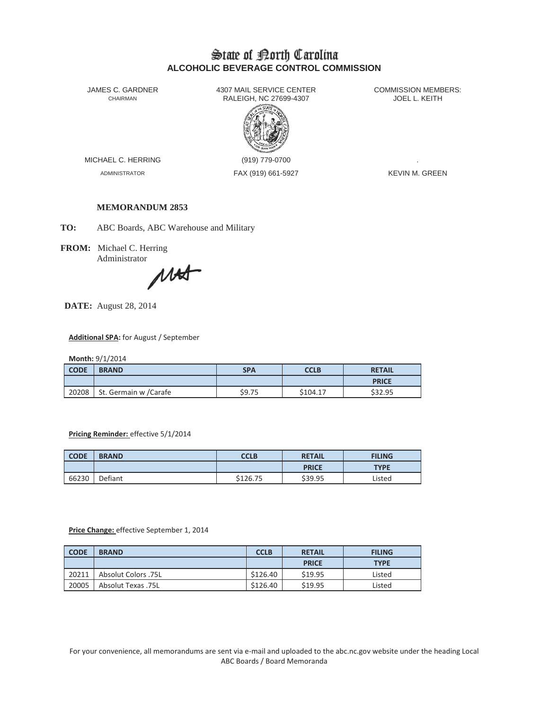# State of Borth Carolina **ALCOHOLIC BEVERAGE CONTROL COMMISSION**

JAMES C. GARDNER 4307 MAIL SERVICE CENTER<br>CHAIRMAN CHAIRMAN RALEIGH, NC 27699-4307 RALEIGH, NC 27699-4307



MICHAEL C. HERRING (919) 779-0700

ADMINISTRATOR FAX (919) 661-5927 KEVIN M. GREEN

# **MEMORANDUM 2853**

**TO:** ABC Boards, ABC Warehouse and Military

**FROM:** Michael C. Herring

Administrator<br>
MA

**DATE:** August 28, 2014

#### **Additional SPA:** for August / September

**Month:** 9/1/2014

| <b>CODE</b> | <b>BRAND</b>          | <b>SPA</b> | <b>CCLB</b> | <b>RETAIL</b> |
|-------------|-----------------------|------------|-------------|---------------|
|             |                       |            |             | <b>PRICE</b>  |
| 20208       | St. Germain w /Carafe | \$9.75     | \$104.17    | \$32.95       |

## **Pricing Reminder:** effective 5/1/2014

| <b>CODE</b> | <b>BRAND</b> | <b>CCLB</b> | <b>RETAIL</b> | <b>FILING</b> |
|-------------|--------------|-------------|---------------|---------------|
|             |              |             | <b>PRICE</b>  | <b>TYPE</b>   |
| 66230       | Defiant      | \$126.75    | \$39.95       | Listed        |

#### **Price Change:** effective September 1, 2014

| <b>CODE</b> | <b>BRAND</b>        | <b>CCLB</b> | <b>RETAIL</b> | <b>FILING</b> |
|-------------|---------------------|-------------|---------------|---------------|
|             |                     |             | <b>PRICE</b>  | <b>TYPE</b>   |
| 20211       | Absolut Colors .75L | \$126.40    | \$19.95       | Listed        |
| 20005       | Absolut Texas .75L  | \$126.40    | \$19.95       | Listed        |

For your convenience, all memorandums are sent via e-mail and uploaded to the abc.nc.gov website under the heading Local ABC Boards / Board Memoranda